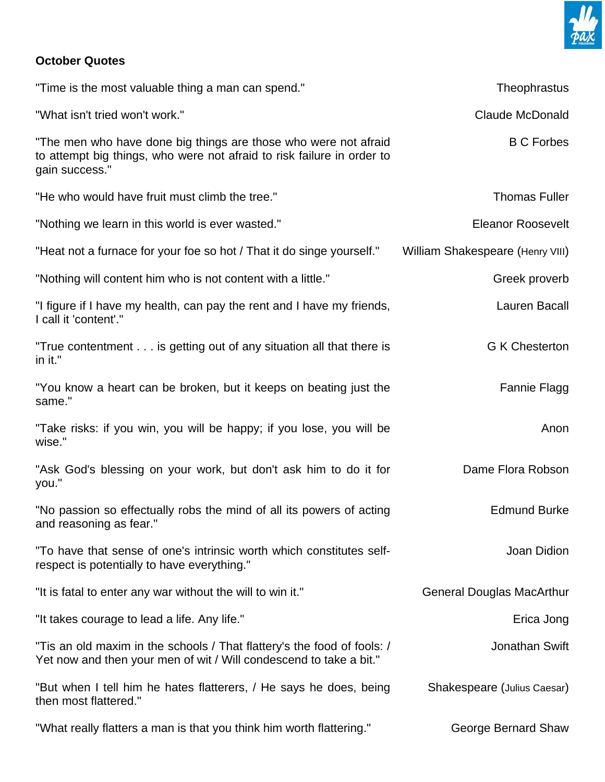

## **October Quotes**

| "Time is the most valuable thing a man can spend."                                                                                                          | Theophrastus                     |
|-------------------------------------------------------------------------------------------------------------------------------------------------------------|----------------------------------|
| "What isn't tried won't work."                                                                                                                              | <b>Claude McDonald</b>           |
| "The men who have done big things are those who were not afraid<br>to attempt big things, who were not afraid to risk failure in order to<br>gain success." | <b>B C Forbes</b>                |
| "He who would have fruit must climb the tree."                                                                                                              | <b>Thomas Fuller</b>             |
| "Nothing we learn in this world is ever wasted."                                                                                                            | <b>Eleanor Roosevelt</b>         |
| "Heat not a furnace for your foe so hot / That it do singe yourself."                                                                                       | William Shakespeare (Henry VIII) |
| "Nothing will content him who is not content with a little."                                                                                                | Greek proverb                    |
| "I figure if I have my health, can pay the rent and I have my friends,<br>I call it 'content'."                                                             | Lauren Bacall                    |
| "True contentment is getting out of any situation all that there is<br>in it."                                                                              | <b>G K Chesterton</b>            |
| "You know a heart can be broken, but it keeps on beating just the<br>same."                                                                                 | Fannie Flagg                     |
| "Take risks: if you win, you will be happy; if you lose, you will be<br>wise."                                                                              | Anon                             |
| "Ask God's blessing on your work, but don't ask him to do it for<br>you."                                                                                   | Dame Flora Robson                |
| "No passion so effectually robs the mind of all its powers of acting<br>and reasoning as fear."                                                             | <b>Edmund Burke</b>              |
| "To have that sense of one's intrinsic worth which constitutes self-<br>respect is potentially to have everything."                                         | Joan Didion                      |
| "It is fatal to enter any war without the will to win it."                                                                                                  | <b>General Douglas MacArthur</b> |
| "It takes courage to lead a life. Any life."                                                                                                                | Erica Jong                       |
| "Tis an old maxim in the schools / That flattery's the food of fools: /<br>Yet now and then your men of wit / Will condescend to take a bit."               | Jonathan Swift                   |
| "But when I tell him he hates flatterers, / He says he does, being<br>then most flattered."                                                                 | Shakespeare (Julius Caesar)      |
| "What really flatters a man is that you think him worth flattering."                                                                                        | George Bernard Shaw              |